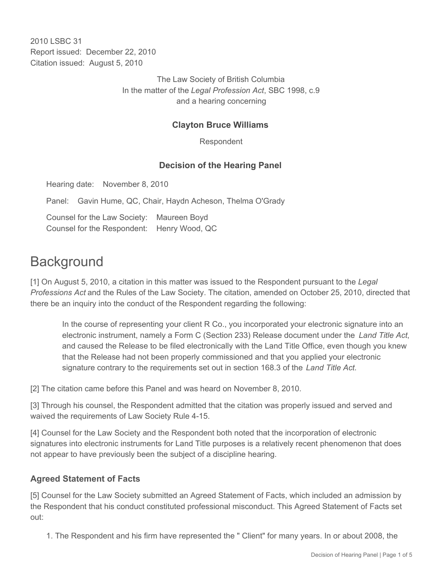2010 LSBC 31 Report issued: December 22, 2010 Citation issued: August 5, 2010

> The Law Society of British Columbia In the matter of the *Legal Profession Act*, SBC 1998, c.9 and a hearing concerning

### **Clayton Bruce Williams**

Respondent

#### **Decision of the Hearing Panel**

Hearing date: November 8, 2010

Panel: Gavin Hume, QC, Chair, Haydn Acheson, Thelma O'Grady

Counsel for the Law Society: Maureen Boyd Counsel for the Respondent: Henry Wood, QC

# **Background**

[1] On August 5, 2010, a citation in this matter was issued to the Respondent pursuant to the *Legal Professions Act* and the Rules of the Law Society. The citation, amended on October 25, 2010, directed that there be an inquiry into the conduct of the Respondent regarding the following:

In the course of representing your client R Co., you incorporated your electronic signature into an electronic instrument, namely a Form C (Section 233) Release document under the *Land Title Act*, and caused the Release to be filed electronically with the Land Title Office, even though you knew that the Release had not been properly commissioned and that you applied your electronic signature contrary to the requirements set out in section 168.3 of the *Land Title Act*.

[2] The citation came before this Panel and was heard on November 8, 2010.

[3] Through his counsel, the Respondent admitted that the citation was properly issued and served and waived the requirements of Law Society Rule 4-15.

[4] Counsel for the Law Society and the Respondent both noted that the incorporation of electronic signatures into electronic instruments for Land Title purposes is a relatively recent phenomenon that does not appear to have previously been the subject of a discipline hearing.

#### **Agreed Statement of Facts**

[5] Counsel for the Law Society submitted an Agreed Statement of Facts, which included an admission by the Respondent that his conduct constituted professional misconduct. This Agreed Statement of Facts set out:

1. The Respondent and his firm have represented the " Client" for many years. In or about 2008, the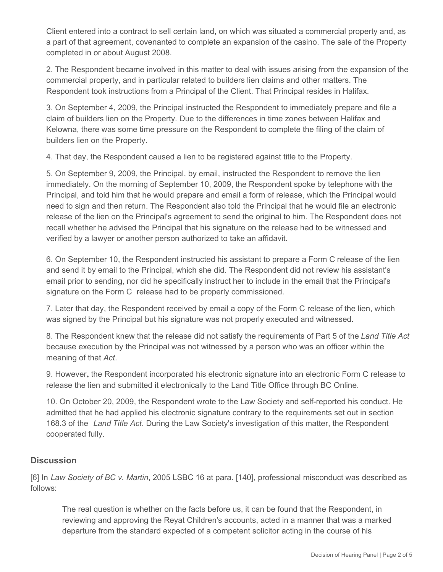Client entered into a contract to sell certain land, on which was situated a commercial property and, as a part of that agreement, covenanted to complete an expansion of the casino. The sale of the Property completed in or about August 2008.

2. The Respondent became involved in this matter to deal with issues arising from the expansion of the commercial property, and in particular related to builders lien claims and other matters. The Respondent took instructions from a Principal of the Client. That Principal resides in Halifax.

3. On September 4, 2009, the Principal instructed the Respondent to immediately prepare and file a claim of builders lien on the Property. Due to the differences in time zones between Halifax and Kelowna, there was some time pressure on the Respondent to complete the filing of the claim of builders lien on the Property.

4. That day, the Respondent caused a lien to be registered against title to the Property.

5. On September 9, 2009, the Principal, by email, instructed the Respondent to remove the lien immediately. On the morning of September 10, 2009, the Respondent spoke by telephone with the Principal, and told him that he would prepare and email a form of release, which the Principal would need to sign and then return. The Respondent also told the Principal that he would file an electronic release of the lien on the Principal's agreement to send the original to him. The Respondent does not recall whether he advised the Principal that his signature on the release had to be witnessed and verified by a lawyer or another person authorized to take an affidavit.

6. On September 10, the Respondent instructed his assistant to prepare a Form C release of the lien and send it by email to the Principal, which she did. The Respondent did not review his assistant's email prior to sending, nor did he specifically instruct her to include in the email that the Principal's signature on the Form C release had to be properly commissioned.

7. Later that day, the Respondent received by email a copy of the Form C release of the lien, which was signed by the Principal but his signature was not properly executed and witnessed.

8. The Respondent knew that the release did not satisfy the requirements of Part 5 of the *Land Title Act* because execution by the Principal was not witnessed by a person who was an officer within the meaning of that *Act*.

9. However**,** the Respondent incorporated his electronic signature into an electronic Form C release to release the lien and submitted it electronically to the Land Title Office through BC Online.

10. On October 20, 2009, the Respondent wrote to the Law Society and self-reported his conduct. He admitted that he had applied his electronic signature contrary to the requirements set out in section 168.3 of the *Land Title Act*. During the Law Society's investigation of this matter, the Respondent cooperated fully.

## **Discussion**

[6] In *Law Society of BC v. Martin*, 2005 LSBC 16 at para. [140], professional misconduct was described as follows:

The real question is whether on the facts before us, it can be found that the Respondent, in reviewing and approving the Reyat Children's accounts, acted in a manner that was a marked departure from the standard expected of a competent solicitor acting in the course of his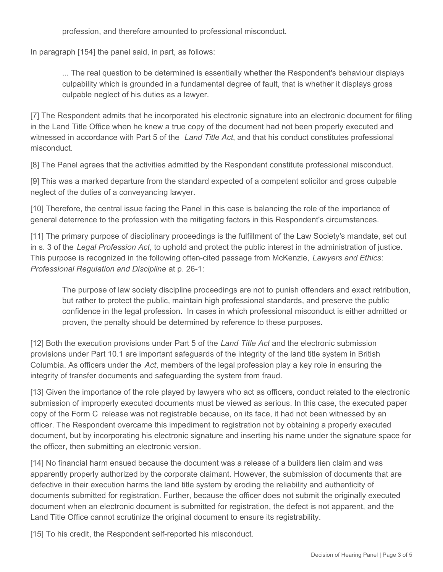profession, and therefore amounted to professional misconduct.

In paragraph [154] the panel said, in part, as follows:

... The real question to be determined is essentially whether the Respondent's behaviour displays culpability which is grounded in a fundamental degree of fault, that is whether it displays gross culpable neglect of his duties as a lawyer.

[7] The Respondent admits that he incorporated his electronic signature into an electronic document for filing in the Land Title Office when he knew a true copy of the document had not been properly executed and witnessed in accordance with Part 5 of the *Land Title Act*, and that his conduct constitutes professional misconduct.

[8] The Panel agrees that the activities admitted by the Respondent constitute professional misconduct.

[9] This was a marked departure from the standard expected of a competent solicitor and gross culpable neglect of the duties of a conveyancing lawyer.

[10] Therefore, the central issue facing the Panel in this case is balancing the role of the importance of general deterrence to the profession with the mitigating factors in this Respondent's circumstances.

[11] The primary purpose of disciplinary proceedings is the fulfillment of the Law Society's mandate, set out in s. 3 of the *Legal Profession Act*, to uphold and protect the public interest in the administration of justice. This purpose is recognized in the following often-cited passage from McKenzie, *Lawyers and Ethics*: *Professional Regulation and Discipline* at p. 26-1:

The purpose of law society discipline proceedings are not to punish offenders and exact retribution, but rather to protect the public, maintain high professional standards, and preserve the public confidence in the legal profession. In cases in which professional misconduct is either admitted or proven, the penalty should be determined by reference to these purposes.

[12] Both the execution provisions under Part 5 of the *Land Title Act* and the electronic submission provisions under Part 10.1 are important safeguards of the integrity of the land title system in British Columbia. As officers under the *Act*, members of the legal profession play a key role in ensuring the integrity of transfer documents and safeguarding the system from fraud.

[13] Given the importance of the role played by lawyers who act as officers, conduct related to the electronic submission of improperly executed documents must be viewed as serious. In this case, the executed paper copy of the Form C release was not registrable because, on its face, it had not been witnessed by an officer. The Respondent overcame this impediment to registration not by obtaining a properly executed document, but by incorporating his electronic signature and inserting his name under the signature space for the officer, then submitting an electronic version.

[14] No financial harm ensued because the document was a release of a builders lien claim and was apparently properly authorized by the corporate claimant. However, the submission of documents that are defective in their execution harms the land title system by eroding the reliability and authenticity of documents submitted for registration. Further, because the officer does not submit the originally executed document when an electronic document is submitted for registration, the defect is not apparent, and the Land Title Office cannot scrutinize the original document to ensure its registrability.

[15] To his credit, the Respondent self-reported his misconduct.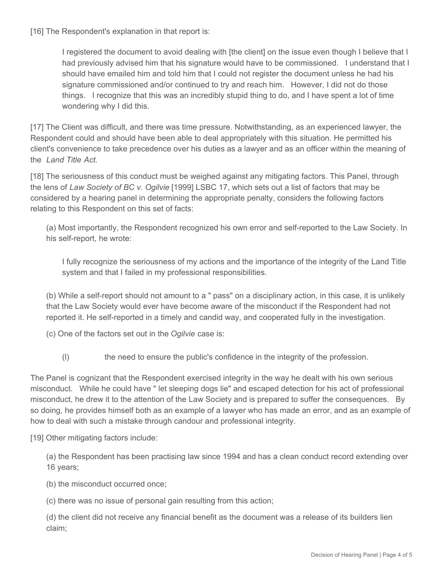[16] The Respondent's explanation in that report is:

I registered the document to avoid dealing with [the client] on the issue even though I believe that I had previously advised him that his signature would have to be commissioned. I understand that I should have emailed him and told him that I could not register the document unless he had his signature commissioned and/or continued to try and reach him. However, I did not do those things. I recognize that this was an incredibly stupid thing to do, and I have spent a lot of time wondering why I did this.

[17] The Client was difficult, and there was time pressure. Notwithstanding, as an experienced lawyer, the Respondent could and should have been able to deal appropriately with this situation. He permitted his client's convenience to take precedence over his duties as a lawyer and as an officer within the meaning of the *Land Title Act.*

[18] The seriousness of this conduct must be weighed against any mitigating factors. This Panel, through the lens of *Law Society of BC v. Ogilvie* [1999] LSBC 17, which sets out a list of factors that may be considered by a hearing panel in determining the appropriate penalty, considers the following factors relating to this Respondent on this set of facts:

(a) Most importantly, the Respondent recognized his own error and self-reported to the Law Society. In his self-report, he wrote:

I fully recognize the seriousness of my actions and the importance of the integrity of the Land Title system and that I failed in my professional responsibilities.

(b) While a self-report should not amount to a " pass" on a disciplinary action, in this case, it is unlikely that the Law Society would ever have become aware of the misconduct if the Respondent had not reported it. He self-reported in a timely and candid way, and cooperated fully in the investigation.

(c) One of the factors set out in the *Ogilvie* case is:

(l) the need to ensure the public's confidence in the integrity of the profession.

The Panel is cognizant that the Respondent exercised integrity in the way he dealt with his own serious misconduct. While he could have " let sleeping dogs lie" and escaped detection for his act of professional misconduct, he drew it to the attention of the Law Society and is prepared to suffer the consequences. By so doing, he provides himself both as an example of a lawyer who has made an error, and as an example of how to deal with such a mistake through candour and professional integrity.

[19] Other mitigating factors include:

(a) the Respondent has been practising law since 1994 and has a clean conduct record extending over 16 years;

(b) the misconduct occurred once;

(c) there was no issue of personal gain resulting from this action;

(d) the client did not receive any financial benefit as the document was a release of its builders lien claim;